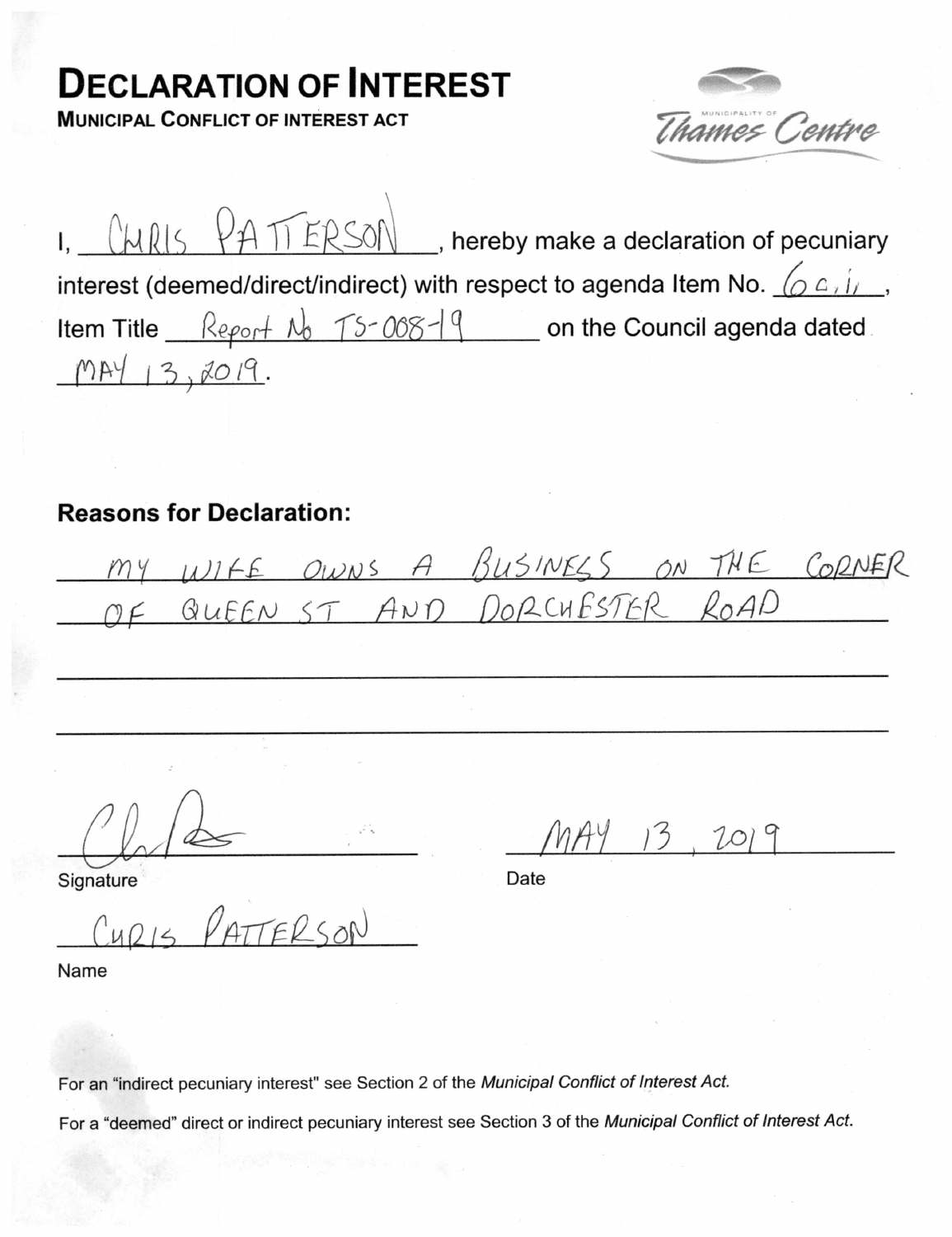## **DECLARATION OF INTEREST**

**MUNICIPAL CONFLICT OF INTEREST ACT** 



|                                                                           |  |                                           | I. $\left(\frac{1}{16} + \frac{1}{16}\right)$ , hereby make a declaration of pecuniary |
|---------------------------------------------------------------------------|--|-------------------------------------------|----------------------------------------------------------------------------------------|
| interest (deemed/direct/indirect) with respect to agenda Item No. $(2.4)$ |  |                                           |                                                                                        |
|                                                                           |  | Item Title $\frac{Report}{N_0}$ TS-008-19 | on the Council agenda dated                                                            |
| MAY 13,2019.                                                              |  |                                           |                                                                                        |

## **Reasons for Declaration:**

WIFE OWNS A BUSINESS ON THE CORNER

 $MAY$  13. 2019

Date

Signature

CUDIS PATTERSON

Name

For an "indirect pecuniary interest" see Section 2 of the Municipal Conflict of Interest Act.

For a "deemed" direct or indirect pecuniary interest see Section 3 of the Municipal Conflict of Interest Act.